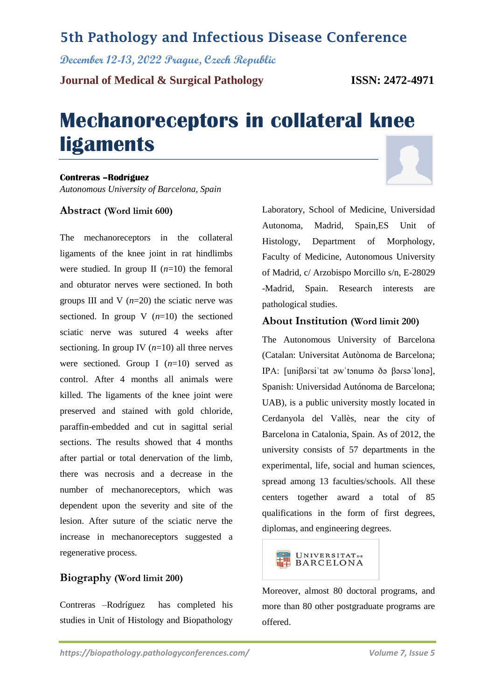### **5th Pathology and Infectious Disease Conference**

**December 12-13, 2022 Prague, Czech Republic**

**Journal of Medical & Surgical Pathology ISSN: 2472-4971**

# **Mechanoreceptors in collateral knee ligaments**

#### **Contreras –Rodríguez**

*Autonomous University of Barcelona, Spain*

#### **Abstract (Word limit 600)**

The mechanoreceptors in the collateral ligaments of the knee joint in rat hindlimbs were studied. In group II  $(n=10)$  the femoral and obturator nerves were sectioned. In both groups III and V  $(n=20)$  the sciatic nerve was sectioned. In group  $V(n=10)$  the sectioned sciatic nerve was sutured 4 weeks after sectioning. In group IV  $(n=10)$  all three nerves were sectioned. Group I (*n*=10) served as control. After 4 months all animals were killed. The ligaments of the knee joint were preserved and stained with gold chloride, paraffin-embedded and cut in sagittal serial sections. The results showed that 4 months after partial or total denervation of the limb, there was necrosis and a decrease in the number of mechanoreceptors, which was dependent upon the severity and site of the lesion. After suture of the sciatic nerve the increase in mechanoreceptors suggested a regenerative process.

### **Biography (Word limit 200)**

Contreras –Rodríguez has completed his studies in Unit of Histology and Biopathology Laboratory, School of Medicine, Universidad Autonoma, Madrid, Spain,ES Unit of Histology, Department of Morphology, Faculty of Medicine, Autonomous University of Madrid, c/ Arzobispo Morcillo s/n, E-28029 -Madrid, Spain. Research interests are pathological studies.

#### **About Institution (Word limit 200)**

The Autonomous University of Barcelona (Catalan: Universitat Autònoma de Barcelona; IPA: [uniβəɾsiˈtat əwˈtɔnumə ðə βəɾsəˈlonə], Spanish: Universidad Autónoma de Barcelona; UAB), is a public university mostly located in Cerdanyola del Vallès, near the city of Barcelona in Catalonia, Spain. As of 2012, the university consists of 57 departments in the experimental, life, social and human sciences, spread among 13 faculties/schools. All these centers together award a total of 85 qualifications in the form of first degrees, diplomas, and engineering degrees.



Moreover, almost 80 doctoral programs, and more than 80 other postgraduate programs are offered.